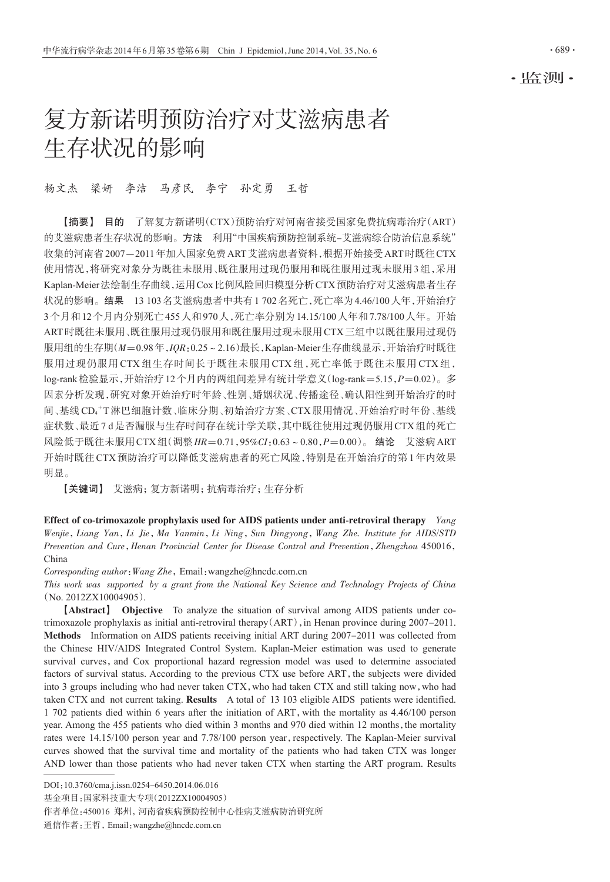·监测·

# 复方新诺明预防治疗对艾滋病患者 生存状况的影响

# 杨文杰 梁妍 李洁 马彦民 李宁 孙定勇 王哲

【摘要】 目的 了解复方新诺明(CTX)预防治疗对河南省接受国家免费抗病毒治疗(ART) 的艾滋病患者生存状况的影响。方法 利用"中国疾病预防控制系统-艾滋病综合防治信息系统" 收集的河南省2007-2011年加入国家免费ART艾滋病患者资料,根据开始接受ART时既往CTX 使用情况,将研究对象分为既往未服用、既往服用过现仍服用和既往服用过现未服用3组,采用 Kaplan-Meier法绘制生存曲线,运用Cox比例风险回归模型分析CTX预防治疗对艾滋病患者生存 状况的影响。结果 13 103名艾滋病患者中共有1 702名死亡,死亡率为4.46/100人年,开始治疗 3个月和12个月内分别死亡455人和970人,死亡率分别为14.15/100人年和7.78/100人年。开始 ART时既往未服用、既往服用过现仍服用和既往服用过现未服用CTX三组中以既往服用过现仍 服用组的生存期(M=0.98年,IQR:0.25~2.16)最长, Kaplan-Meier生存曲线显示, 开始治疗时既往 服用过现仍服用 CTX 组生存时间长于既往未服用 CTX 组, 死亡率低于既往未服用 CTX 组, log-rank检验显示,开始治疗12个月内的两组间差异有统计学意义(log-rank=5.15,P=0.02)。多 因素分析发现,研究对象开始治疗时年龄、性别、婚姻状况、传播途径、确认阳性到开始治疗的时 间、基线CD4+T淋巴细胞计数、临床分期、初始治疗方案、CTX服用情况、开始治疗时年份、基线 症状数、最近7 d是否漏服与生存时间存在统计学关联,其中既往使用过现仍服用CTX组的死亡 风险低于既往未服用CTX组(调整HR=0.71,95%CI:0.63~0.80,P=0.00)。 结论 艾滋病ART 开始时既往CTX预防治疗可以降低艾滋病患者的死亡风险,特别是在开始治疗的第1年内效果 明显。

【关键词】 艾滋病;复方新诺明;抗病毒治疗;生存分析

Effect of co-trimoxazole prophylaxis used for AIDS patients under anti-retroviral therapy  $Yang$ Wenjie,Liang Yan,Li Jie,Ma Yanmin,Li Ning,Sun Dingyong,Wang Zhe. Institute for AIDS/STD Prevention and Cure,Henan Provincial Center for Disease Control and Prevention,Zhengzhou 450016, China

Corresponding author: Wang Zhe, Email: wangzhe@hncdc.com.cn

This work was supported by a grant from the National Key Science and Technology Projects of China (No. 2012ZX10004905).

【Abstract】 Objective To analyze the situation of survival among AIDS patients under cotrimoxazole prophylaxis as initial anti-retroviral therapy(ART),in Henan province during 2007-2011. Methods Information on AIDS patients receiving initial ART during 2007-2011 was collected from the Chinese HIV/AIDS Integrated Control System. Kaplan-Meier estimation was used to generate survival curves, and Cox proportional hazard regression model was used to determine associated factors of survival status. According to the previous CTX use before ART, the subjects were divided into 3 groups including who had never taken CTX, who had taken CTX and still taking now, who had taken CTX and not current taking. Results A total of 13 103 eligible AIDS patients were identified. 1 702 patients died within 6 years after the initiation of ART,with the mortality as 4.46/100 person year. Among the 455 patients who died within 3 months and 970 died within 12 months, the mortality rates were 14.15/100 person year and 7.78/100 person year, respectively. The Kaplan-Meier survival curves showed that the survival time and mortality of the patients who had taken CTX was longer AND lower than those patients who had never taken CTX when starting the ART program. Results

DOI:10.3760/cma.j.issn.0254-6450.2014.06.016

基金项目:国家科技重大专项(2012ZX10004905)

作者单位:450016 郑州,河南省疾病预防控制中心性病艾滋病防治研究所

通信作者:王哲,Email:wangzhe@hncdc.com.cn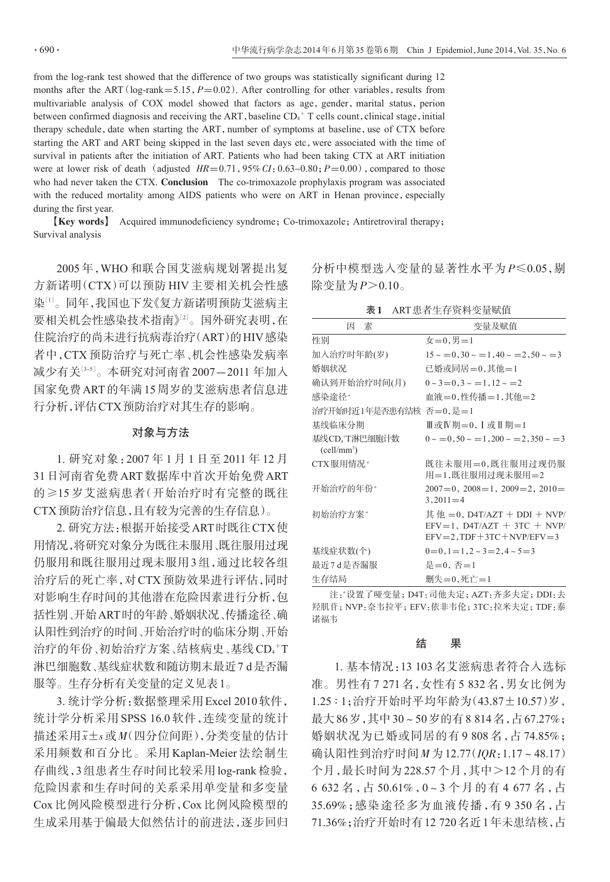from the log-rank test showed that the difference of two groups was statistically significant during 12 months after the ART ( $log-rank=5.15$ ,  $P=0.02$ ). After controlling for other variables, results from multivariable analysis of COX model showed that factors as age, gender, marital status, perion between confirmed diagnosis and receiving the ART, baseline  $CD<sub>4</sub>$ <sup>+</sup> T cells count, clinical stage, initial therapy schedule, date when starting the ART, number of symptoms at baseline, use of CTX before starting the ART and ART being skipped in the last seven days etc,were associated with the time of survival in patients after the initiation of ART. Patients who had been taking CTX at ART initiation were at lower risk of death (adjusted  $HR=0.71,95\% CI:0.63-0.80; P=0.00$ ), compared to those who had never taken the CTX. Conclusion The co-trimoxazole prophylaxis program was associated with the reduced mortality among AIDS patients who were on ART in Henan province, especially during the first year.

【Key words】 Acquired immunodeficiency syndrome;Co-trimoxazole;Antiretroviral therapy; Survival analysis

2005 年,WHO 和联合国艾滋病规划署提出复 方新诺明(CTX)可以预防 HIV 主要相关机会性感 染[1]。同年,我国也下发《复方新诺明预防艾滋病主 要相关机会性感染技术指南》[<sup>2</sup>] 。国外研究表明,在 住院治疗的尚未进行抗病毒治疗(ART)的HIV感染 者中,CTX 预防治疗与死亡率、机会性感染发病率 减少有关[<sup>3</sup>-5] 。本研究对河南省2007-2011 年加入 国家免费ART的年满15周岁的艾滋病患者信息进 行分析,评估CTX预防治疗对其生存的影响。

## 对象与方法

1. 研究对象:2007 年 1 月 1 日至 2011 年 12 月 31日河南省免费ART数据库中首次开始免费ART 的≥15 岁艾滋病患者(开始治疗时有完整的既往 CTX预防治疗信息,且有较为完善的生存信息)。

2. 研究方法:根据开始接受ART时既往CTX使 用情况,将研究对象分为既往未服用、既往服用过现 仍服用和既往服用过现未服用3组,通过比较各组 治疗后的死亡率,对CTX预防效果进行评估,同时 对影响生存时间的其他潜在危险因素进行分析,包 括性别、开始ART时的年龄、婚姻状况、传播途径、确 认阳性到治疗的时间、开始治疗时的临床分期、开始 治疗的年份、初始治疗方案、结核病史、基线 CD4<sup>+</sup>T 淋巴细胞数、基线症状数和随访期末最近7 d是否漏 服等。生存分析有关变量的定义见表1。

3. 统计学分析:数据整理采用Excel 2010软件, 统计学分析采用 SPSS 16.0 软件,连续变量的统计 描述采用x±s或M(四分位间距),分类变量的估计 采用频数和百分比。采用 Kaplan-Meier 法绘制生 存曲线,3 组患者生存时间比较采用 log-rank 检验, 危险因素和生存时间的关系采用单变量和多变量 Cox 比例风险模型进行分析,Cox 比例风险模型的 生成采用基于偏最大似然估计的前进法,逐步回归 分析中模型选入变量的显著性水平为 P≤0.05,剔 除变量为 $P > 0.10$ 。

|  | ART患者生存资料变量赋值 |
|--|---------------|
|--|---------------|

| 素<br>因                        | 变量及赋值                                                                                                                   |  |  |  |  |
|-------------------------------|-------------------------------------------------------------------------------------------------------------------------|--|--|--|--|
| 性别                            | $\pm = 0, \pm = 1$                                                                                                      |  |  |  |  |
| 加入治疗时年龄(岁)                    | $15 \sim 0.30 \sim 1.40 \sim 2.50 \sim 3$                                                                               |  |  |  |  |
| 婚姻状况                          | 已婚或同居=0.其他=1                                                                                                            |  |  |  |  |
| 确认到开始治疗时间(月)                  | $0 \sim 3 = 0.3 \sim 1.12 \sim 2$                                                                                       |  |  |  |  |
| 感染涂径"                         | 血液=0.性传播=1.其他=2                                                                                                         |  |  |  |  |
| 治疗开始时近1年是否患有结核 否=0,是=1        |                                                                                                                         |  |  |  |  |
| 基线临床分期                        | Ⅲ或Ⅳ期=0. Ⅰ或Ⅱ期=1                                                                                                          |  |  |  |  |
| 基线CD4T淋巴细胞计数<br>$(cell/mm^3)$ | $0 \sim 0.50 \sim 1.200 \sim 2.350 \sim 3$                                                                              |  |  |  |  |
| CTX服用情况。                      | 既往未服用=0.既往服用过现仍服<br>用=1,既往服用过现未服用=2                                                                                     |  |  |  |  |
| 开始治疗的年份"                      | $2007=0, 2008=1, 2009=2, 2010=$<br>$3,2011 = 4$                                                                         |  |  |  |  |
| 初始治疗方案"                       | $\ddagger$ (the $=$ 0, D4T/AZT + DDI + NVP/<br>$EFV=1$ , $D4T/AZT + 3TC + NVP$<br>$EFV = 2$ , $TDF + 3TC + NVP/EFV = 3$ |  |  |  |  |
| 基线症状数(个)                      | $0=0, 1=1, 2 \sim 3=2, 4 \sim 5=3$                                                                                      |  |  |  |  |
| 最近7d是否漏服                      | 是 $=0.$ 否 $=1$                                                                                                          |  |  |  |  |
| 生存结局                          | 删失=0.死亡=1                                                                                                               |  |  |  |  |

注:"设置了哑变量; D4T:司他夫定; AZT:齐多夫定; DDI:去 羟肌苷;NVP:奈韦拉平;EFV:依非韦伦;3TC:拉米夫定;TDF:泰 诺福韦

## 结 果

1. 基本情况:13 103名艾滋病患者符合入选标 准。男性有 7 271 名,女性有 5 832 名,男女比例为 1.25 ∶ 1;治疗开始时平均年龄为(43.87±10.57)岁, 最大86岁,其中30~50岁的有8 814名,占67.27%; 婚姻状况为已婚或同居的有 9 808 名,占 74.85%; 确认阳性到治疗时间M为12.77(IQR:1.17~48.17) 个月,最长时间为 228.57 个月,其中>12 个月的有 6 632 名,占 50.61%,0~3 个月的有 4 677 名,占 35.69%;感染途径多为血液传播,有 9 350 名,占 71.36%;治疗开始时有12 720名近1年未患结核,占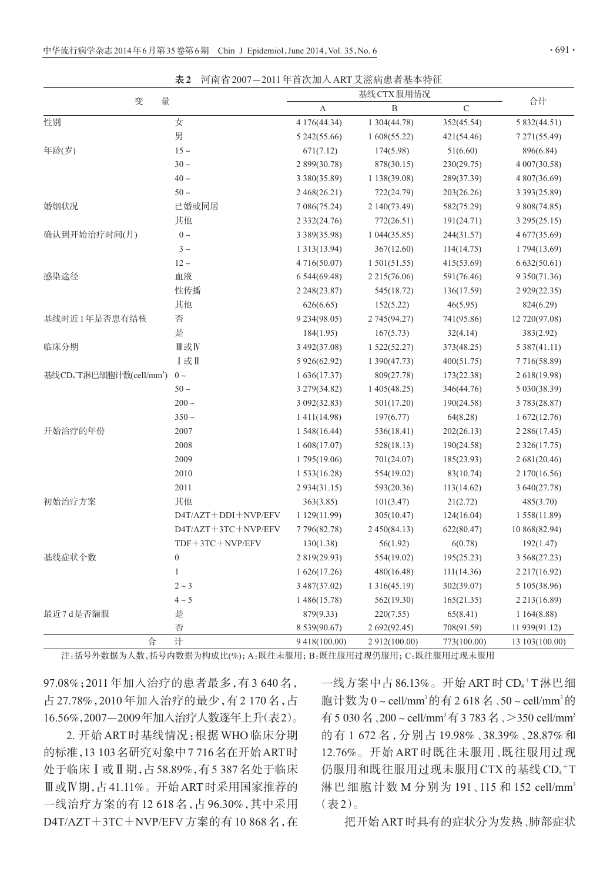|                                     | Æ 4<br>凹閈訇 2007−2011 牛目沃加八 AKI 又巡炳忠有莝半付匹 |                   | 基线 CTX 服用情况      |               |                       |
|-------------------------------------|------------------------------------------|-------------------|------------------|---------------|-----------------------|
| 变<br>量                              |                                          | A                 | $\boldsymbol{B}$ | $\mathcal{C}$ | 合计                    |
| 性别                                  | 女                                        | 4 176 (44.34)     | 1 304(44.78)     | 352(45.54)    | 5 832(44.51)          |
|                                     | 男                                        | 5 242(55.66)      | 1608(55.22)      | 421(54.46)    | 7 271 (55.49)         |
| 年龄(岁)                               | $15 -$                                   | 671(7.12)         | 174(5.98)        | 51(6.60)      | 896(6.84)             |
|                                     | $30 \sim$                                | 2 899(30.78)      | 878(30.15)       | 230(29.75)    | 4 007(30.58)          |
|                                     | $40 \sim$                                | 3 380(35.89)      | 1 138(39.08)     | 289(37.39)    | 4 807(36.69)          |
|                                     | $50 \sim$                                | 2 468(26.21)      | 722(24.79)       | 203(26.26)    | 3 3 9 3 ( 25.89)      |
| 婚姻状况                                | 已婚或同居                                    | 7 086(75.24)      | 2 140(73.49)     | 582(75.29)    | 9 808(74.85)          |
|                                     | 其他                                       | 2 3 3 2 ( 24.76)  | 772(26.51)       | 191(24.71)    | 3 295 (25.15)         |
| 确认到开始治疗时间(月)                        | $0 \sim$                                 | 3 389(35.98)      | 1044(35.85)      | 244(31.57)    | 4 677(35.69)          |
|                                     | $3\sim$                                  | 1 3 1 3 (1 3 .94) | 367(12.60)       | 114(14.75)    | 1 794(13.69)          |
|                                     | $12 \sim$                                | 4 716(50.07)      | 1501(51.55)      | 415(53.69)    | 6632(50.61)           |
| 感染途径                                | 血液                                       | 6 544 (69.48)     | 2 2 1 5 (76.06)  | 591(76.46)    | 9 3 5 0 ( 7 1 . 3 6 ) |
|                                     | 性传播                                      | 2 248(23.87)      | 545(18.72)       | 136(17.59)    | 2 9 29 (22.35)        |
|                                     | 其他                                       | 626(6.65)         | 152(5.22)        | 46(5.95)      | 824(6.29)             |
| 基线时近1年是否患有结核                        | 否                                        | 9 234 (98.05)     | 2 745 (94.27)    | 741(95.86)    | 12 720(97.08)         |
|                                     | 是                                        | 184(1.95)         | 167(5.73)        | 32(4.14)      | 383(2.92)             |
| 临床分期                                | Ⅲ或Ⅳ                                      | 3 492(37.08)      | 1522(52.27)      | 373(48.25)    | 5 387(41.11)          |
|                                     | Ⅰ或Ⅱ                                      | 5 926(62.92)      | 1390(47.73)      | 400(51.75)    | 7 716 (58.89)         |
| 基线CD+T淋巴细胞计数(cell/mm <sup>3</sup> ) | $0 \sim$                                 | 1636(17.37)       | 809(27.78)       | 173(22.38)    | 2 618(19.98)          |
|                                     | $50 \sim$                                | 3 279 (34.82)     | 1 405 (48.25)    | 346(44.76)    | 5 030(38.39)          |
|                                     | $200 -$                                  | 3 092(32.83)      | 501(17.20)       | 190(24.58)    | 3 783 (28.87)         |
|                                     | $350 -$                                  | 1 411 (14.98)     | 197(6.77)        | 64(8.28)      | 1672(12.76)           |
| 开始治疗的年份                             | 2007                                     | 1548(16.44)       | 536(18.41)       | 202(26.13)    | 2 2 8 6 (17.45)       |
|                                     | 2008                                     | 1 608(17.07)      | 528(18.13)       | 190(24.58)    | 2 3 2 6 (17.75)       |
|                                     | 2009                                     | 1 795(19.06)      | 701(24.07)       | 185(23.93)    | 2 681(20.46)          |
|                                     | 2010                                     | 1 533 (16.28)     | 554(19.02)       | 83(10.74)     | 2 170(16.56)          |
|                                     | 2011                                     | 2 9 34 (31.15)    | 593(20.36)       | 113(14.62)    | 3 640(27.78)          |
| 初始治疗方案                              | 其他                                       | 363(3.85)         | 101(3.47)        | 21(2.72)      | 485(3.70)             |
|                                     | D4T/AZT+DDI+NVP/EFV                      | 1 129(11.99)      | 305(10.47)       | 124(16.04)    | 1 558(11.89)          |
|                                     | D4T/AZT+3TC+NVP/EFV                      | 7 796(82.78)      | 2 450(84.13)     | 622(80.47)    | 10 868(82.94)         |
|                                     | TDF+3TC+NVP/EFV                          | 130(1.38)         | 56(1.92)         | 6(0.78)       | 192(1.47)             |
| 基线症状个数                              | $\boldsymbol{0}$                         | 2 819(29.93)      | 554(19.02)       | 195(25.23)    | 3 5 6 8 (27.23)       |
|                                     | $\mathbf{1}$                             | 1626(17.26)       | 480(16.48)       | 111(14.36)    | 2 2 1 7 (16.92)       |
|                                     | $2 \sim 3$                               | 3 487(37.02)      | 1 316(45.19)     | 302(39.07)    | 5 105 (38.96)         |
|                                     | $4\sim5$                                 | 1 486(15.78)      | 562(19.30)       | 165(21.35)    | 2 2 1 3 (16.89)       |
| 最近7d是否漏服                            | 是                                        | 879(9.33)         | 220(7.55)        | 65(8.41)      | 1164(8.88)            |
|                                     | 否                                        | 8 539(90.67)      | 2 692(92.45)     | 708(91.59)    | 11 939(91.12)         |
| 슈                                   | 计                                        | 9 418 (100.00)    | 2 912(100.00)    | 773(100.00)   | 13 103 (100.00)       |

主1 河南省2007-2011年首次加入ART艾滋病患者基本特征

注:括号外数据为人数,括号内数据为构成比(%);A:既往未服用;B:既往服用过现仍服用;C:既往服用过现未服用

97.08%;2011 年加入治疗的患者最多,有 3 640 名, 占 27.78%,2010 年加入治疗的最少,有 2 170 名,占 16.56%,2007-2009年加入治疗人数逐年上升(表2)。

2. 开始 ART 时基线情况:根据 WHO 临床分期 的标准,13 103名研究对象中7 716名在开始ART时 处于临床Ⅰ或Ⅱ期,占58.89%,有5 387名处于临床 Ⅲ或Ⅳ期,占41.11%。开始ART时采用国家推荐的 一线治疗方案的有 12 618 名,占 96.30%,其中采用 D4T/AZT+3TC+NVP/EFV方案的有10 868名,在

 $-\,$ 线方案中占86.13%。开始 ART 时 CD4 $^+$ T 淋巴细 胞计数为 0 ~ cell/mm<sup>3</sup>的有 2 618 名 、50 ~ cell/mm<sup>3</sup>的 有 5 030 名 、200 ~ cell/mm<sup>3</sup>有 3 783 名 、>350 cell/mm<sup>3</sup> 的有 1 672 名,分别占 19.98%、38.39%、28.87%和 12.76%。开始 ART 时既往未服用、既往服用过现 仍服用和既往服用过现未服用 CTX 的基线 CD4+T 淋巴细胞计数 M 分别为 191、115 和 152 cell/mm<sup>3</sup> (表2)。

把开始ART时具有的症状分为发热、肺部症状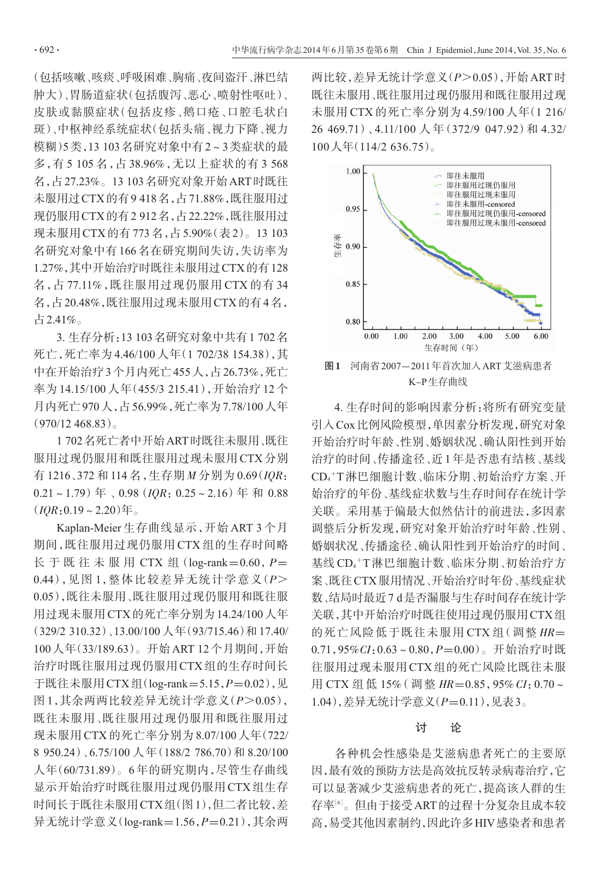(包括咳嗽、咳痰、呼吸困难、胸痛、夜间盗汗、淋巴结 肿大)、胃肠道症状(包括腹泻、恶心、喷射性呕吐)、 皮肤或黏膜症状(包括皮疹、鹅口疮、口腔毛状白 斑)、中枢神经系统症状(包括头痛、视力下降、视力 模糊)5类,13 103名研究对象中有2~3类症状的最 多,有 5 105 名,占 38.96%,无以上症状的有 3 568 名,占27.23%。13 103名研究对象开始ART时既往 未服用过CTX的有9 418名,占71.88%,既往服用过 现仍服用CTX的有2 912名,占22.22%,既往服用过 现未服用CTX的有773名,占5.90%(表2)。13 103 名研究对象中有 166 名在研究期间失访,失访率为 1.27%,其中开始治疗时既往未服用过CTX的有128 名,占 77.11%,既往服用过现仍服用 CTX 的有 34 名,占20.48%,既往服用过现未服用CTX的有4名, 占2.41%。

3. 生存分析:13 103名研究对象中共有1 702名 死亡,死亡率为 4.46/100 人年(1 702/38 154.38),其 中在开始治疗3个月内死亡455人,占26.73%,死亡 率为 14.15/100 人年(455/3 215.41),开始治疗 12 个 月内死亡970人,占56.99%,死亡率为7.78/100人年  $(970/12468.83)$ 

1 702名死亡者中开始ART时既往未服用、既往 服用过现仍服用和既往服用过现未服用 CTX 分别 有 1216、372 和 114 名,生存期 M 分别为 0.69(IQR:  $0.21 \sim 1.79$ )年、 $0.98$  (*IOR*:  $0.25 \sim 2.16$ )年和 0.88  $(10R:0.19 \sim 2.20)$ 年。

Kaplan-Meier 生存曲线显示,开始 ART 3 个月 期间,既往服用过现仍服用 CTX 组的生存时间略 长 于 既 往 未 服 用 CTX 组 (log-rank=0.60,  $P=$ 0.44),见图 1,整体比较差异无统计学意义(P> 0.05),既往未服用、既往服用过现仍服用和既往服 用过现未服用 CTX的死亡率分别为14.24/100人年 (329/2 310.32)、13.00/100 人年(93/715.46)和 17.40/ 100人年(33/189.63)。开始ART 12个月期间,开始 治疗时既往服用过现仍服用 CTX 组的生存时间长 于既往未服用CTX组(log-rank=5.15, P=0.02), 见 图 1,其余两两比较差异无统计学意义(P>0.05), 既往未服用、既往服用过现仍服用和既往服用过 现未服用 CTX 的死亡率分别为 8.07/100人年(722/ 8 950.24)、6.75/100 人年(188/2 786.70)和 8.20/100 人年(60/731.89)。6 年的研究期内,尽管生存曲线 显示开始治疗时既往服用过现仍服用 CTX 组生存 时间长于既往未服用CTX组(图1),但二者比较,差 异无统计学意义(log-rank=1.56,P=0.21),其余两

两比较,差异无统计学意义(P>0.05),开始ART时 既往未服用、既往服用过现仍服用和既往服用过现 未服用 CTX 的死亡率分别为 4.59/100 人年(1 216/ 26 469.71)、4.11/100 人 年(372/9 047.92)和 4.32/ 100人年(114/2 636.75)。



4. 生存时间的影响因素分析:将所有研究变量 引入Cox比例风险模型,单因素分析发现,研究对象 开始治疗时年龄、性别、婚姻状况、确认阳性到开始 治疗的时间、传播途径、近1年是否患有结核、基线 CD4 <sup>+</sup>T淋巴细胞计数、临床分期、初始治疗方案、开 始治疗的年份、基线症状数与生存时间存在统计学 关联。采用基于偏最大似然估计的前进法,多因素 调整后分析发现,研究对象开始治疗时年龄、性别、 婚姻状况、传播途径、确认阳性到开始治疗的时间、 基线 CD4 <sup>+</sup>T 淋巴细胞计数、临床分期、初始治疗方 案、既往CTX服用情况、开始治疗时年份、基线症状 数、结局时最近7 d是否漏服与生存时间存在统计学 关联,其中开始治疗时既往使用过现仍服用CTX组 的死亡风险低于既往未服用 CTX 组(调整 HR=  $0.71,95\% CI: 0.63 \sim 0.80, P=0.00$ )。开始治疗时既 往服用过现未服用 CTX 组的死亡风险比既往未服 用 CTX 组低 15% (调整  $HR=0.85$ , 95% CI: 0.70~ 1.04), 差异无统计学意义(P=0.11), 见表3。

### 讨 论

各种机会性感染是艾滋病患者死亡的主要原 因,最有效的预防方法是高效抗反转录病毒治疗,它 可以显著减少艾滋病患者的死亡,提高该人群的生 存率[<sup>6</sup>] 。但由于接受ART的过程十分复杂且成本较 高,易受其他因素制约,因此许多HIV感染者和患者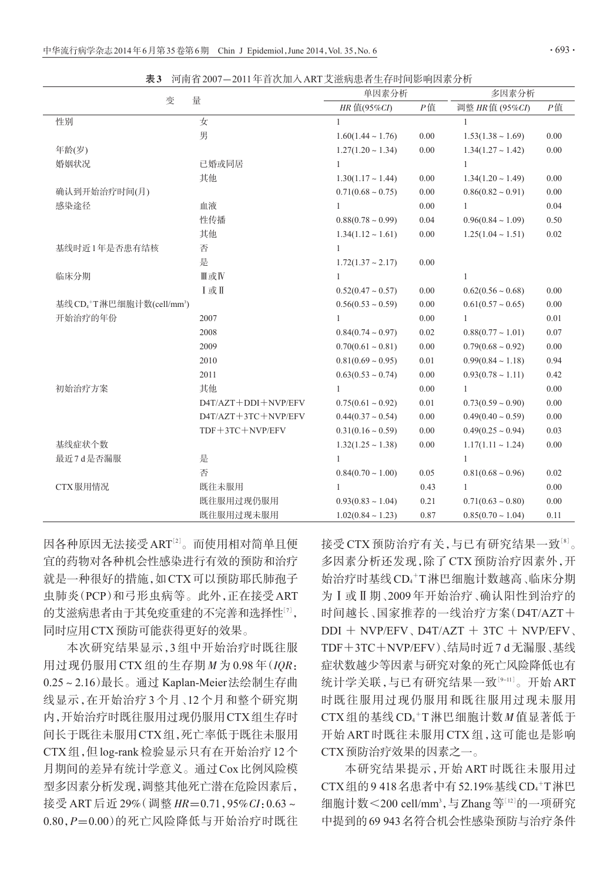表3 河南省2007-2011年首次加入ART艾滋病患者生存时间影响因素分析

| 量<br>变                                             |                     | 单因素分析                  |          | 多因素分析                  |          |
|----------------------------------------------------|---------------------|------------------------|----------|------------------------|----------|
|                                                    |                     | HR 值(95%CI)            | P值       | 调整 HR值 (95%CI)         | $P$ 值    |
| 性别                                                 | 女                   | 1                      |          | 1                      |          |
|                                                    | 男                   | $1.60(1.44 \sim 1.76)$ | 0.00     | $1.53(1.38 \sim 1.69)$ | 0.00     |
| 年龄(岁)                                              |                     | $1.27(1.20 \sim 1.34)$ | $0.00\,$ | $1.34(1.27 \sim 1.42)$ | $0.00\,$ |
| 婚姻状况                                               | 已婚或同居               | 1                      |          | $\mathbf{1}$           |          |
|                                                    | 其他                  | $1.30(1.17 \sim 1.44)$ | $0.00\,$ | $1.34(1.20 \sim 1.49)$ | 0.00     |
| 确认到开始治疗时间(月)                                       |                     | $0.71(0.68 \sim 0.75)$ | 0.00     | $0.86(0.82 \sim 0.91)$ | 0.00     |
| 感染途径                                               | 血液                  | $\mathbf{1}$           | 0.00     | $\mathbf{1}$           | 0.04     |
|                                                    | 性传播                 | $0.88(0.78 \sim 0.99)$ | 0.04     | $0.96(0.84 \sim 1.09)$ | 0.50     |
|                                                    | 其他                  | $1.34(1.12 \sim 1.61)$ | 0.00     | $1.25(1.04 \sim 1.51)$ | 0.02     |
| 基线时近1年是否患有结核                                       | 否                   | $\mathbf{1}$           |          |                        |          |
|                                                    | 是                   | $1.72(1.37 - 2.17)$    | 0.00     |                        |          |
| 临床分期                                               | Ⅲ或Ⅳ                 | $\mathbf{1}$           |          | $\mathbf{1}$           |          |
|                                                    | I或I                 | $0.52(0.47 \sim 0.57)$ | 0.00     | $0.62(0.56 \sim 0.68)$ | 0.00     |
| 基线 CD <sub>4</sub> +T淋巴细胞计数(cell/mm <sup>3</sup> ) |                     | $0.56(0.53 \sim 0.59)$ | 0.00     | $0.61(0.57 \sim 0.65)$ | $0.00\,$ |
| 开始治疗的年份                                            | 2007                | 1                      | 0.00     | $\mathbf{1}$           | 0.01     |
|                                                    | 2008                | $0.84(0.74 \sim 0.97)$ | 0.02     | $0.88(0.77 \sim 1.01)$ | 0.07     |
|                                                    | 2009                | $0.70(0.61 \sim 0.81)$ | 0.00     | $0.79(0.68 \sim 0.92)$ | 0.00     |
|                                                    | 2010                | $0.81(0.69 \sim 0.95)$ | 0.01     | $0.99(0.84 \sim 1.18)$ | 0.94     |
|                                                    | 2011                | $0.63(0.53 \sim 0.74)$ | 0.00     | $0.93(0.78 \sim 1.11)$ | 0.42     |
| 初始治疗方案                                             | 其他                  | $\mathbf{1}$           | 0.00     | $\mathbf{1}$           | 0.00     |
|                                                    | D4T/AZT+DDI+NVP/EFV | $0.75(0.61 \sim 0.92)$ | 0.01     | $0.73(0.59 \sim 0.90)$ | $0.00\,$ |
|                                                    | D4T/AZT+3TC+NVP/EFV | $0.44(0.37 \sim 0.54)$ | 0.00     | $0.49(0.40 \sim 0.59)$ | 0.00     |
|                                                    | TDF+3TC+NVP/EFV     | $0.31(0.16 \sim 0.59)$ | 0.00     | $0.49(0.25 \sim 0.94)$ | 0.03     |
| 基线症状个数                                             |                     | $1.32(1.25 \sim 1.38)$ | 0.00     | $1.17(1.11 \sim 1.24)$ | 0.00     |
| 最近7d是否漏服                                           | 是                   | $\mathbf{1}$           |          | $\mathbf{1}$           |          |
|                                                    | 否                   | $0.84(0.70 \sim 1.00)$ | 0.05     | $0.81(0.68 \sim 0.96)$ | 0.02     |
| CTX服用情况                                            | 既往未服用               | $\mathbf{1}$           | 0.43     | $\mathbf{1}$           | 0.00     |
|                                                    | 既往服用过现仍服用           | $0.93(0.83 \sim 1.04)$ | 0.21     | $0.71(0.63 \sim 0.80)$ | 0.00     |
|                                                    | 既往服用过现未服用           | $1.02(0.84 \sim 1.23)$ | 0.87     | $0.85(0.70 \sim 1.04)$ | 0.11     |

因各种原因无法接受ART'2'。而使用相对简单且便 宜的药物对各种机会性感染进行有效的预防和治疗 就是一种很好的措施,如CTX可以预防耶氏肺孢子 虫肺炎(PCP)和弓形虫病等。此外,正在接受ART 的艾滋病患者由于其免疫重建的不完善和选择性'<sup>7</sup>', 同时应用CTX预防可能获得更好的效果。

本次研究结果显示,3 组中开始治疗时既往服 用过现仍服用 CTX 组的生存期  $M \not\supseteq 0.98$  年(IOR: 0.25~2.16)最长。通过 Kaplan-Meier法绘制生存曲 线显示,在开始治疗 3 个月、12 个月和整个研究期 内,开始治疗时既往服用过现仍服用CTX组生存时 间长于既往未服用CTX组,死亡率低于既往未服用 CTX组,但log-rank检验显示只有在开始治疗12个 月期间的差异有统计学意义。通过Cox比例风险模 型多因素分析发现,调整其他死亡潜在危险因素后, 接受 ART 后近 29% (调整  $HR=0.71,95\% CI:0.63\sim$ 0.80,P=0.00)的死亡风险降低与开始治疗时既往

接受 CTX 预防治疗有关,与已有研究结果一致'<sup>8」</sup>。 多因素分析还发现,除了 CTX 预防治疗因素外,开 始治疗时基线CD4 <sup>+</sup>T淋巴细胞计数越高、临床分期 为Ⅰ或Ⅱ期、2009 年开始治疗、确认阳性到治疗的 时间越长、国家推荐的一线治疗方案(D4T/AZT+  $DDI + NVP/EFV$ ,  $D4T/AZT + 3TC + NVP/EFV$ TDF+3TC+NVP/EFV)、结局时近7 d无漏服、基线 症状数越少等因素与研究对象的死亡风险降低也有 统计学关联,与已有研究结果一致<sup>[9-11]</sup>。开始 ART 时既往服用过现仍服用和既往服用过现未服用  $CTX$ 组的基线 $CD_4$ +T淋巴细胞计数 $M$ 值显著低于 开始 ART 时既往未服用 CTX 组,这可能也是影响 CTX预防治疗效果的因素之一。

本研究结果提示,开始 ART 时既往未服用过 CTX组的9418名患者中有52.19%基线 CD<sub>4</sub>+T淋巴 细胞计数<200 cell/mm<sup>3</sup>,与Zhang等<sup>[12]</sup>的一项研究 中提到的69 943名符合机会性感染预防与治疗条件